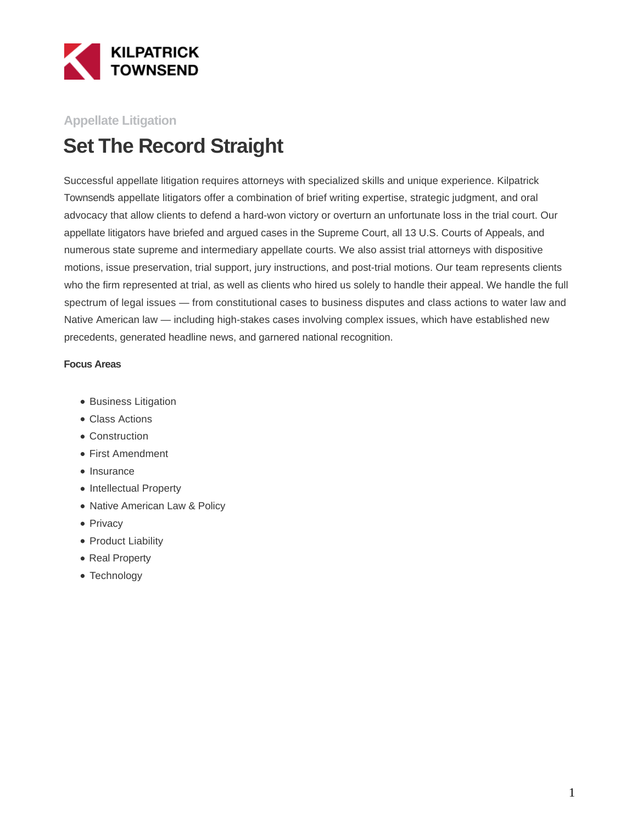

### **Appellate Litigation**

# **Set The Record Straight**

Successful appellate litigation requires attorneys with specialized skills and unique experience. Kilpatrick Townsend's appellate litigators offer a combination of brief writing expertise, strategic judgment, and oral advocacy that allow clients to defend a hard-won victory or overturn an unfortunate loss in the trial court. Our appellate litigators have briefed and argued cases in the Supreme Court, all 13 U.S. Courts of Appeals, and numerous state supreme and intermediary appellate courts. We also assist trial attorneys with dispositive motions, issue preservation, trial support, jury instructions, and post-trial motions. Our team represents clients who the firm represented at trial, as well as clients who hired us solely to handle their appeal. We handle the full spectrum of legal issues — from constitutional cases to business disputes and class actions to water law and Native American law — including high-stakes cases involving complex issues, which have established new precedents, generated headline news, and garnered national recognition.

#### **Focus Areas**

- Business Litigation
- Class Actions
- Construction
- First Amendment
- Insurance
- Intellectual Property
- Native American Law & Policy
- Privacy
- Product Liability
- Real Property
- Technology